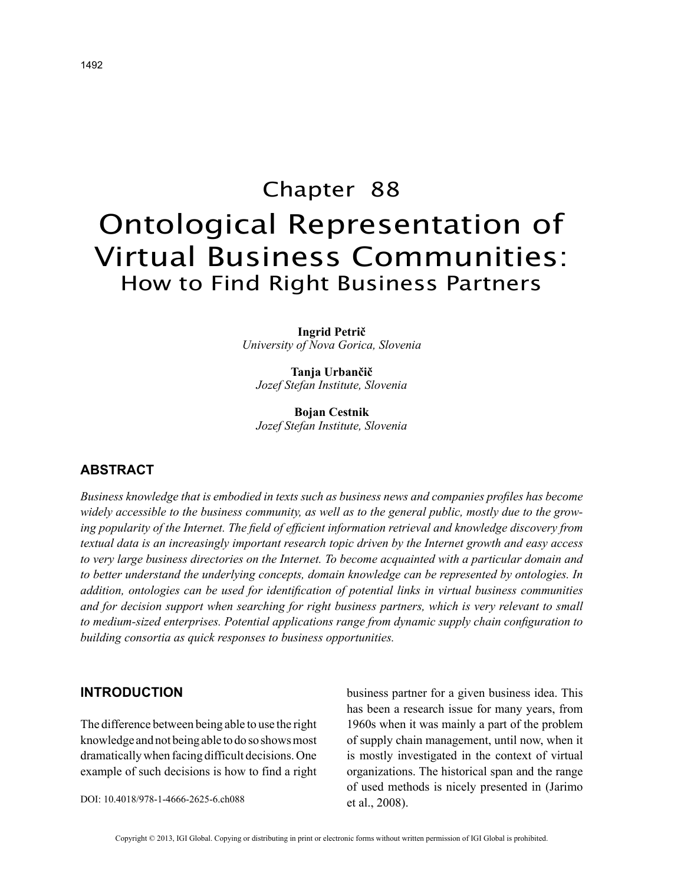# Chapter 88 Ontological Representation of Virtual Business Communities: How to Find Right Business Partners

**Ingrid Petrič** *University of Nova Gorica, Slovenia*

**Tanja Urbančič** *Jozef Stefan Institute, Slovenia*

**Bojan Cestnik** *Jozef Stefan Institute, Slovenia*

# **ABSTRACT**

*Business knowledge that is embodied in texts such as business news and companies profiles has become widely accessible to the business community, as well as to the general public, mostly due to the growing popularity of the Internet. The field of efficient information retrieval and knowledge discovery from textual data is an increasingly important research topic driven by the Internet growth and easy access to very large business directories on the Internet. To become acquainted with a particular domain and to better understand the underlying concepts, domain knowledge can be represented by ontologies. In addition, ontologies can be used for identification of potential links in virtual business communities and for decision support when searching for right business partners, which is very relevant to small to medium-sized enterprises. Potential applications range from dynamic supply chain configuration to building consortia as quick responses to business opportunities.*

#### **INTRODUCTION**

The difference between being able to use the right knowledge and not being able to do so shows most dramatically when facing difficult decisions. One example of such decisions is how to find a right

DOI: 10.4018/978-1-4666-2625-6.ch088

business partner for a given business idea. This has been a research issue for many years, from 1960s when it was mainly a part of the problem of supply chain management, until now, when it is mostly investigated in the context of virtual organizations. The historical span and the range of used methods is nicely presented in (Jarimo et al., 2008).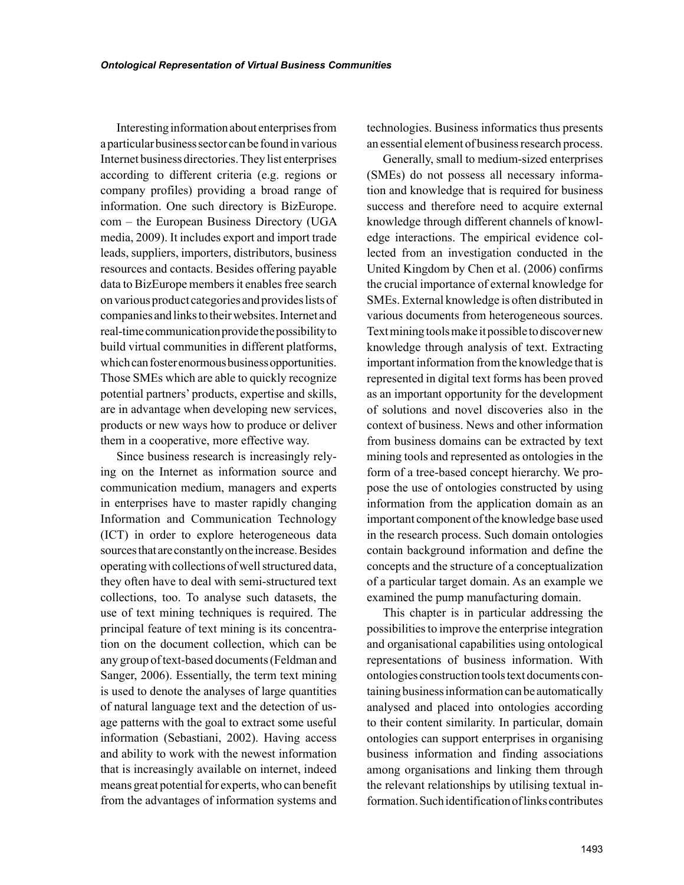Interesting information about enterprises from a particular business sector can be found in various Internet business directories. They list enterprises according to different criteria (e.g. regions or company profiles) providing a broad range of information. One such directory is BizEurope. com – the European Business Directory (UGA media, 2009). It includes export and import trade leads, suppliers, importers, distributors, business resources and contacts. Besides offering payable data to BizEurope members it enables free search on various product categories and provides lists of companies and links to their websites. Internet and real-time communication provide the possibility to build virtual communities in different platforms, which can foster enormous business opportunities. Those SMEs which are able to quickly recognize potential partners' products, expertise and skills, are in advantage when developing new services, products or new ways how to produce or deliver them in a cooperative, more effective way.

Since business research is increasingly relying on the Internet as information source and communication medium, managers and experts in enterprises have to master rapidly changing Information and Communication Technology (ICT) in order to explore heterogeneous data sources that are constantly on the increase. Besides operating with collections of well structured data, they often have to deal with semi-structured text collections, too. To analyse such datasets, the use of text mining techniques is required. The principal feature of text mining is its concentration on the document collection, which can be any group of text-based documents (Feldman and Sanger, 2006). Essentially, the term text mining is used to denote the analyses of large quantities of natural language text and the detection of usage patterns with the goal to extract some useful information (Sebastiani, 2002). Having access and ability to work with the newest information that is increasingly available on internet, indeed means great potential for experts, who can benefit from the advantages of information systems and technologies. Business informatics thus presents an essential element of business research process.

Generally, small to medium-sized enterprises (SMEs) do not possess all necessary information and knowledge that is required for business success and therefore need to acquire external knowledge through different channels of knowledge interactions. The empirical evidence collected from an investigation conducted in the United Kingdom by Chen et al. (2006) confirms the crucial importance of external knowledge for SMEs. External knowledge is often distributed in various documents from heterogeneous sources. Text mining tools make it possible to discover new knowledge through analysis of text. Extracting important information from the knowledge that is represented in digital text forms has been proved as an important opportunity for the development of solutions and novel discoveries also in the context of business. News and other information from business domains can be extracted by text mining tools and represented as ontologies in the form of a tree-based concept hierarchy. We propose the use of ontologies constructed by using information from the application domain as an important component of the knowledge base used in the research process. Such domain ontologies contain background information and define the concepts and the structure of a conceptualization of a particular target domain. As an example we examined the pump manufacturing domain.

This chapter is in particular addressing the possibilities to improve the enterprise integration and organisational capabilities using ontological representations of business information. With ontologies construction tools text documents containing business information can be automatically analysed and placed into ontologies according to their content similarity. In particular, domain ontologies can support enterprises in organising business information and finding associations among organisations and linking them through the relevant relationships by utilising textual information. Such identification of links contributes